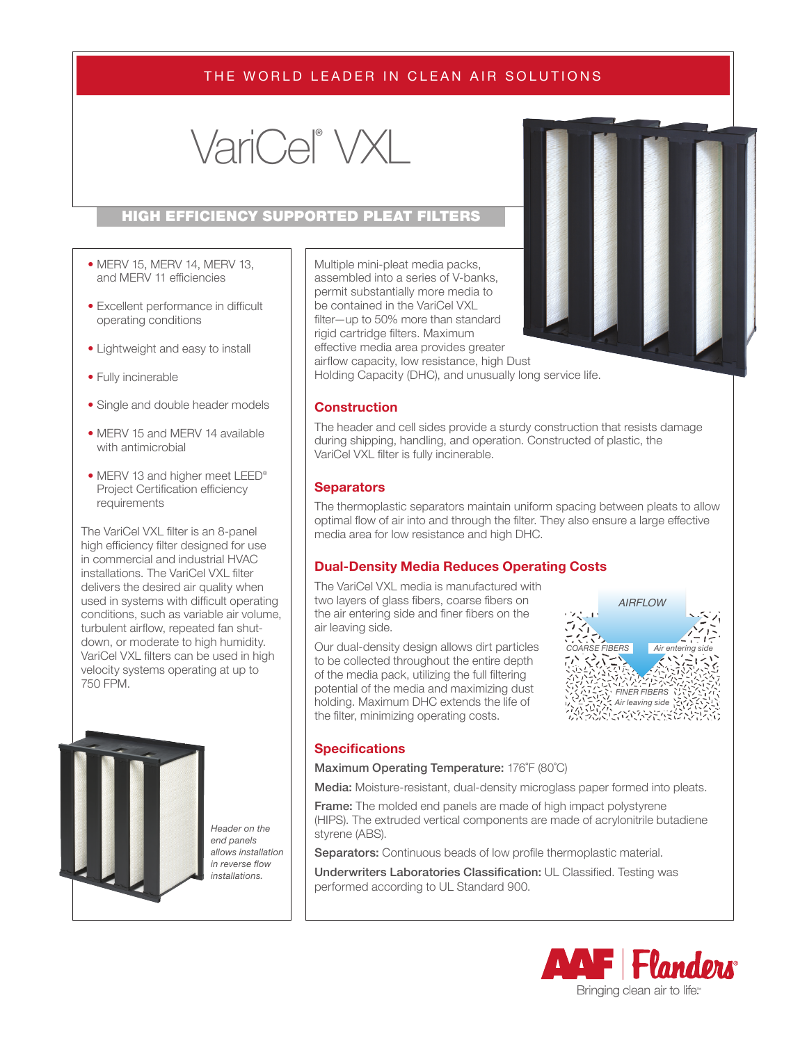# THE WORLD LEADER IN CLEAN AIR SOLUTIONS

# VariCel® VXL

#### HIGH EFFICIENCY SUPPORTED PLEAT FILTERS

- MERV 15, MERV 14, MERV 13, and MERV 11 efficiencies
- Excellent performance in difficult operating conditions
- Lightweight and easy to install
- Fully incinerable
- Single and double header models
- MERV 15 and MERV 14 available with antimicrobial
- MERV 13 and higher meet LEED® Project Certification efficiency requirements

The VariCel VXL filter is an 8-panel high efficiency filter designed for use in commercial and industrial HVAC installations. The VariCel VXL filter delivers the desired air quality when used in systems with difficult operating conditions, such as variable air volume, turbulent airflow, repeated fan shutdown, or moderate to high humidity. VariCel VXL filters can be used in high velocity systems operating at up to 750 FPM.



*Header on the end panels allows installation in reverse flow installations.*

Multiple mini-pleat media packs, assembled into a series of V-banks, permit substantially more media to be contained in the VariCel VXL filter—up to 50% more than standard rigid cartridge filters. Maximum effective media area provides greater airflow capacity, low resistance, high Dust



Holding Capacity (DHC), and unusually long service life.

#### **Construction**

The header and cell sides provide a sturdy construction that resists damage during shipping, handling, and operation. Constructed of plastic, the VariCel VXL filter is fully incinerable.

#### **Separators**

The thermoplastic separators maintain uniform spacing between pleats to allow optimal flow of air into and through the filter. They also ensure a large effective media area for low resistance and high DHC.

#### **Dual-Density Media Reduces Operating Costs**

The VariCel VXL media is manufactured with two layers of glass fibers, coarse fibers on the air entering side and finer fibers on the air leaving side.

Our dual-density design allows dirt particles to be collected throughout the entire depth of the media pack, utilizing the full filtering potential of the media and maximizing dust holding. Maximum DHC extends the life of the filter, minimizing operating costs.



#### **Specifications**

#### Maximum Operating Temperature: 176˚F (80˚C)

Media: Moisture-resistant, dual-density microglass paper formed into pleats.

**Frame:** The molded end panels are made of high impact polystyrene (HIPS). The extruded vertical components are made of acrylonitrile butadiene styrene (ABS).

Separators: Continuous beads of low profile thermoplastic material.

Underwriters Laboratories Classification: UL Classified. Testing was performed according to UL Standard 900.